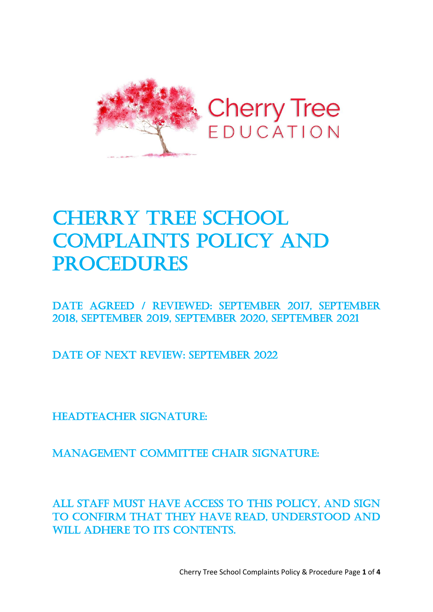

# **CHERRY TREE SCHOOL** COMPLAINTS POLICY AND **PROCEDURES**

Date Agreed / REVIEWED: September 2017, September 2018, September 2019, September 2020, September 2021

DATE OF NEXT REVIEW: SEPTEMBER 2022

Headteacher signature:

Management Committee Chair signature:

All staff must have access to this policy, and sign to confirm that they have read, understood and WILL ADHERE TO ITS CONTENTS.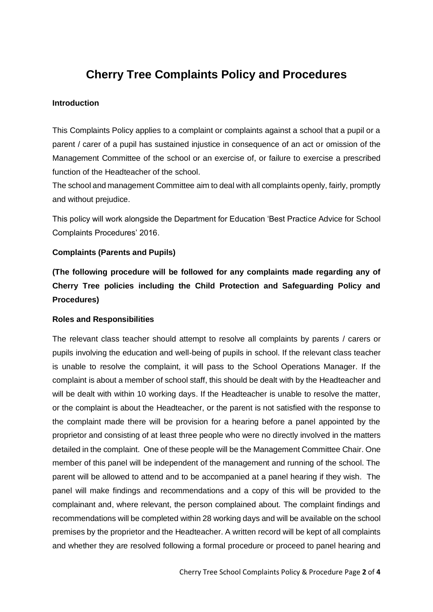## **Cherry Tree Complaints Policy and Procedures**

#### **Introduction**

This Complaints Policy applies to a complaint or complaints against a school that a pupil or a parent / carer of a pupil has sustained injustice in consequence of an act or omission of the Management Committee of the school or an exercise of, or failure to exercise a prescribed function of the Headteacher of the school.

The school and management Committee aim to deal with all complaints openly, fairly, promptly and without prejudice.

This policy will work alongside the Department for Education 'Best Practice Advice for School Complaints Procedures' 2016.

#### **Complaints (Parents and Pupils)**

**(The following procedure will be followed for any complaints made regarding any of Cherry Tree policies including the Child Protection and Safeguarding Policy and Procedures)**

#### **Roles and Responsibilities**

The relevant class teacher should attempt to resolve all complaints by parents / carers or pupils involving the education and well-being of pupils in school. If the relevant class teacher is unable to resolve the complaint, it will pass to the School Operations Manager. If the complaint is about a member of school staff, this should be dealt with by the Headteacher and will be dealt with within 10 working days. If the Headteacher is unable to resolve the matter, or the complaint is about the Headteacher, or the parent is not satisfied with the response to the complaint made there will be provision for a hearing before a panel appointed by the proprietor and consisting of at least three people who were no directly involved in the matters detailed in the complaint. One of these people will be the Management Committee Chair. One member of this panel will be independent of the management and running of the school. The parent will be allowed to attend and to be accompanied at a panel hearing if they wish. The panel will make findings and recommendations and a copy of this will be provided to the complainant and, where relevant, the person complained about. The complaint findings and recommendations will be completed within 28 working days and will be available on the school premises by the proprietor and the Headteacher. A written record will be kept of all complaints and whether they are resolved following a formal procedure or proceed to panel hearing and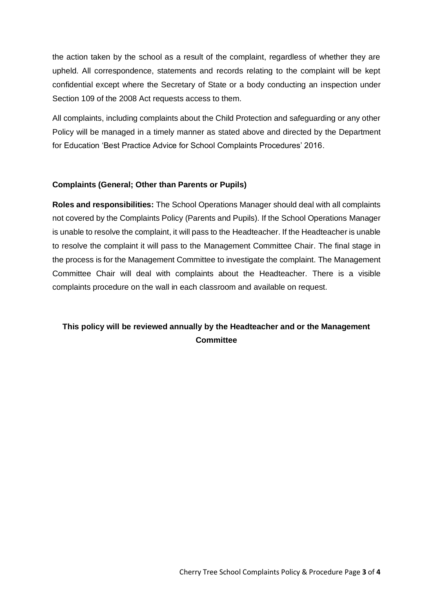the action taken by the school as a result of the complaint, regardless of whether they are upheld. All correspondence, statements and records relating to the complaint will be kept confidential except where the Secretary of State or a body conducting an inspection under Section 109 of the 2008 Act requests access to them.

All complaints, including complaints about the Child Protection and safeguarding or any other Policy will be managed in a timely manner as stated above and directed by the Department for Education 'Best Practice Advice for School Complaints Procedures' 2016.

#### **Complaints (General; Other than Parents or Pupils)**

**Roles and responsibilities:** The School Operations Manager should deal with all complaints not covered by the Complaints Policy (Parents and Pupils). If the School Operations Manager is unable to resolve the complaint, it will pass to the Headteacher. If the Headteacher is unable to resolve the complaint it will pass to the Management Committee Chair. The final stage in the process is for the Management Committee to investigate the complaint. The Management Committee Chair will deal with complaints about the Headteacher. There is a visible complaints procedure on the wall in each classroom and available on request.

### **This policy will be reviewed annually by the Headteacher and or the Management Committee**